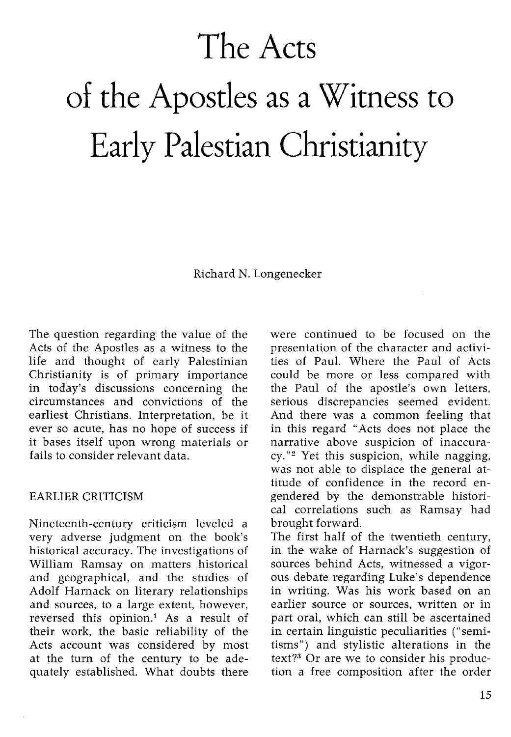# **The Acts of the Apostles as a Witness to Early Palestian Christianity**

Richard N. Longenecker

The question regarding the value of the Acts of the Apostles as a witness to the life and thought of early Palestinian Christianity is of primary importance in today's discussions concerning the circumstances and convictions of the earliest Christians. Interpretation, be it ever so acute, has no hope of success if it bases itself upon wrong materials or fails to consider relevant data.

#### EARLIER CRITICISM

Nineteenth-century criticism leveled a very adverse judgment on the book's historical accuracy. The investigations of William Ramsay on matters historical and geographical, and the studies of Adolf Harnack on literary relationships and sources, to a large extent, however, reversed this opinion.! As a result of their work, the basic reliability of the Acts account was considered by most at the turn of the century to be adequately established. What doubts there were continued to be focused on the presentation of the character and activities of Paul. Where the Paul of Acts could be more or less compared with the Paul of the apostle's own letters, serious discrepancies seemed evident. And there was a common feeling that in this regard "Acts does not place the narrative above suspicion of inaccuracy."2 Yet this suspicion, while nagging, was not able to displace the general attitude of confidence in the record engendered by the demonstrable historical correlations such as Ramsay had brought forward.

The first half of the twentieth century, in the wake of Harnack's suggestion of sources behind Acts, witnessed a vigorous debate regarding Luke's dependence in writing. Was his work based on an earlier source or sources, written or in part oral, which can still be ascertained in certain linguistic peculiarities ("semitisms") and stylistic alterations in the text? $3$  Or are we to consider his production a free composition after the order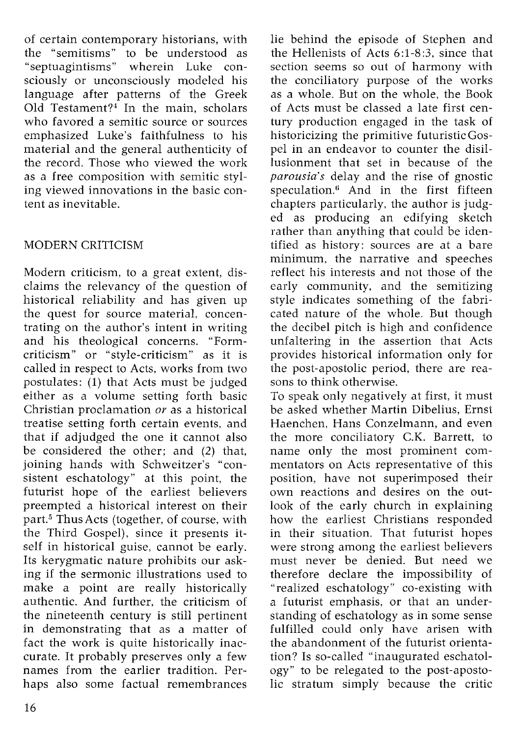of certain contemporary historians, with the "semitisms" to be understood as "septuagintisms" wherein Luke consciously or unconsciously modeled his language after patterns of the Greek Old Testament?4 In the main, scholars who favored a semitic source or sources emphasized Luke's faithfulness to his material and the general authenticity of the record. Those who viewed the work as a free composition with semitic styling viewed innovations in the basic content as inevitable.

## MODERN CRITICISM

Modern criticism, to a great extent, disclaims the relevancy of the question of historical reliability and has given up the quest for source material, concentrating on the author's intent in writing and his theological concerns. "Formcriticism" or "style-criticism" as it is called in respect to Acts, works from two postulates: (1) that Acts must be judged either as a volume setting forth basic Christian proclamation *or* as a historical treatise setting forth certain events, and that if adjudged the one it cannot also be considered the other; and (2) that, joining hands with Schweitzer's "consistent eschatology" at this point, the futurist hope of the earliest believers preempted a historical interest on their part.<sup>5</sup> Thus Acts (together, of course, with the Third Gospel), since it presents itself in historical guise, cannot be early. Its kerygmatic nature prohibits our asking if the sermonic illustrations used to make a point are really historically authentic. And further, the criticism of the nineteenth century is still pertinent in demonstrating that as a matter of fact the work is quite historically inaccurate. It probably preserves only a few names from the earlier tradition. Perhaps also some factual remembrances

lie behind the episode of Stephen and the Hellenists of Acts 6:1-8:3, since that section seems so out of harmony with the conciliatory purpose of the works as a whole. But on the whole, the Book of Acts must be classed a late first century production engaged in the task of historicizing the primitive futuristic Gospel in an endeavor to counter the disillusionment that set in because of the *parousia's* delay and the rise of gnostic speculation.<sup>6</sup> And in the first fifteen chapters particularly, the author is judged as producing an edifying sketch rather than anything that could be identified as history: sources are at a bare minimum, the narrative and speeches reflect his interests and not those of the early community, and the semitizing style indicates something of the fabricated nature of the whole. But though the decibel pitch is high and confidence unfaltering in the assertion that Acts provides historical information only for the post-apostolic period, there are reasons to think otherwise.

To speak only negatively at first, it must be asked whether Martin Dibelius, Ernst Haenchen, Hans Conzelmann, and even the more conciliatory c.K. Barrett, to name only the most prominent commentators on Acts representative of this position, have not superimposed their own reactions and desires on the outlook of the early church in explaining how the earliest Christians responded in their situation. That futurist hopes were strong among the earliest believers must never be denied. But need we therefore declare the impossibility of "realized eschatology" co-existing with a futurist emphasis, or that an understanding of eschatology as in some sense fulfilled could only have arisen with the abandonment of the futurist orientation? Is so-called "inaugurated eschatology" to be relegated to the post-apostolic stratum simply because the critic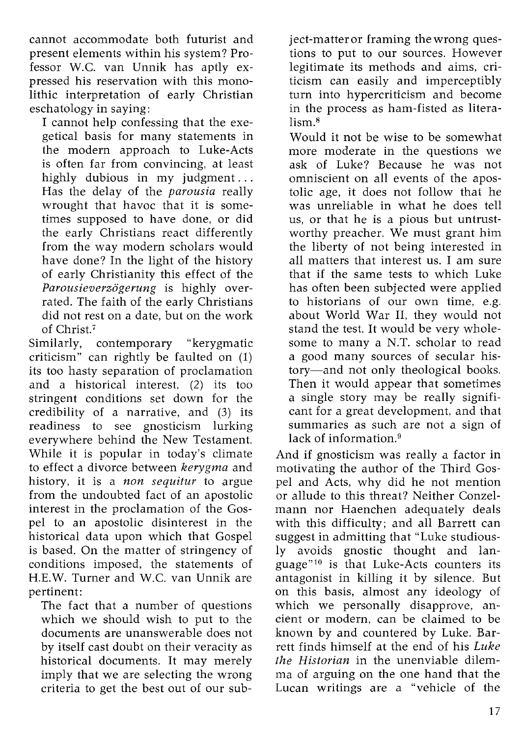cannot accommodate both futurist and present elements within his system? Professor W.C. van Unnik has aptly expressed his reservation with this monolithic interpretation of early Christian eschatology in saying:

I cannot help confessing that the exegetical basis for many statements in the modern approach to Luke-Acts is often far from convincing, at least highly dubious in my judgment ... Has the delay of the *parousia* really wrought that havoc that it is sometimes supposed to have done, or did the early Christians react differently from the way modern scholars would have done? In the light of the history of early Christianity this effect of the *Parousieverzogerung* is highly overrated. The faith of the early Christians did not rest on a date, but on the work of Christ.<sup>7</sup>

Similarly, contemporary "kerygmatic criticism" can rightly be faulted on (1) its too hasty separation of proclamation and a historical interest, (2) its too stringent conditions set down for the credibility of a narrative, and (3) its readiness to see gnosticism lurking everywhere behind the New Testament. While it is popular in today's climate to effect a divorce between *kerygma* and history, it is a *non sequitur* to argue from the undoubted fact of an apostolic interest in the proclamation of the Gospel to an apostolic disinterest in the historical data upon which that Gospel is based. On the matter of stringency of conditions imposed, the statements of H.E.W. Turner and W.C. van Unnik are pertinent:

The fact that a number of questions which we should wish to put to the documents are unanswerable does not by itself cast doubt on their veracity as historical documents. It may merely imply that we are selecting the wrong criteria to get the best out of our sub-

ject-matteror framing the wrong questions to put to our sources. However legitimate its methods and aims, criticism can easily and imperceptibly turn into hypercriticism and become in the process as ham-fisted as literalism.<sup>8</sup>

Would it not be wise to be somewhat more moderate in the questions we ask of Luke? Because he was not omniscient on all events of the apostolic age, it does not follow that he was unreliable in what he does tell us, or that he is a pious but untrustworthy preacher. We must grant him the liberty of not being interested in all matters that interest us. I am sure that if the same tests to which Luke has often been subjected were applied to historians of our own time, e.g. about World War II, they would not stand the test. It would be very wholesome to many a N.T. scholar to read a good many sources of secular history-and not only theological books. Then it would appear that sometimes a single story may be really significant for a great development, and that summaries as such are not a sign of lack of information.<sup>9</sup>

And if gnosticism was really a factor in motivating the author of the Third Gospel and Acts, why did he not mention or allude to this threat? Neither Conzelmann nor Haenchen adequately deals with this difficulty; and all Barrett can suggest in admitting that "Luke studiously avoids gnostic thought and language"10 is that Luke-Acts counters its antagonist in killing it by silence. But on this basis, almost any ideology of which we personally disapprove, ancient or modern, can be claimed to be known by and countered by Luke. Barrett finds himself at the end of his *Luke the Historian* in the unenviable dilemma of arguing on the one hand that the Lucan writings are a "vehicle of the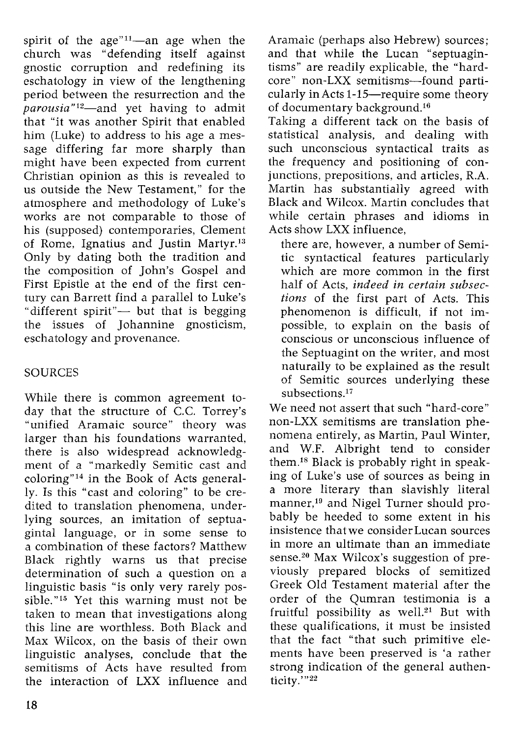spirit of the  $age''^{11}$ —an age when the church was "defending itself against gnostic corruption and redefining its eschatology in view of the lengthening period between the resurrection and the *parousia"12-and* yet having to admit that "it was another Spirit that enabled him (Luke) to address to his age a message differing far more sharply than might have been expected from current Christian opinion as this is revealed to us outside the New Testament," for the atmosphere and methodology of Luke's works are not comparable to those of his (supposed) contemporaries, Clement of Rome, Ignatius and Justin Martyr.<sup>13</sup> Only by dating both the tradition and the composition of John's Gospel and First Epistle at the end of the first century can Barrett find a parallel to Luke's "different spirit"- but that is begging the issues of Johannine gnosticism, eschatology and provenance.

### **SOURCES**

While there is common agreement today that the structure of  $\overline{C}$ .C. Torrey's "unified Aramaic source" theory was larger than his foundations warranted, there is also widespread acknowledgment of a "markedly Semitic cast and coloring"14 in the Book of Acts generally. Is this "cast and coloring" to be credited to translation phenomena, underlying sources, an imitation of septuagintal language, or in some sense to a combination of these factors? Matthew Black rightly warns us that precise determination of such a question on a linguistic basis "is only very rarely possible."<sup>15</sup> Yet this warning must not be taken to mean that investigations along this line are worthless. Both Black and Max Wilcox, on the basis of their own linguistic analyses, conclude that the semitisms of Acts have resulted from the interaction of LXX influence and

Aramaic (perhaps also Hebrew) sources; and that while the Lucan "septuagintisms" are readily explicable, the "hardcore" non-LXX semitisms-found particularly in Acts 1-15—require some theory of documentary background.16

Taking a different tack on the basis of statistical analysis, and dealing with such unconscious syntactical traits as the frequency and positioning of conjunctions, prepositions, and articles, R.A. Martin has substantially agreed with Black and Wilcox. Martin concludes that while certain phrases and idioms in Acts show LXX influence,

there are, however, a number of Semitic syntactical features particularly which are more common in the first half of Acts, *indeed in certain subsections* of the first part of Acts. This phenomenon is difficult, if not impossible, to explain on the basis of conscious or unconscious influence of the Septuagint on the writer, and most naturally to be explained as the result of Semitic sources underlying these subsections.<sup>17</sup>

We need not assert that such "hard-core" non-LXX semitisms are translation phenomena entirely, as Martin, Paul Winter, and W.F. Albright tend to consider them.Is Black is probably right in speaking of Luke's use of sources as being in a more literary than slavishly literal manner,19 and Nigel Turner should probably be heeded to some extent in his insistence thatwe considerLucan sources in more an ultimate than an immediate sense.<sup>20</sup> Max Wilcox's suggestion of previously prepared blocks of semitized Greek Old Testament material after the order of the Qumran testimonia is a fruitful possibility as well.<sup>21</sup> But with these qualifications, it must be insisted that the fact "that such primitive elements have been preserved is 'a rather strong indication of the general authenticity.'"22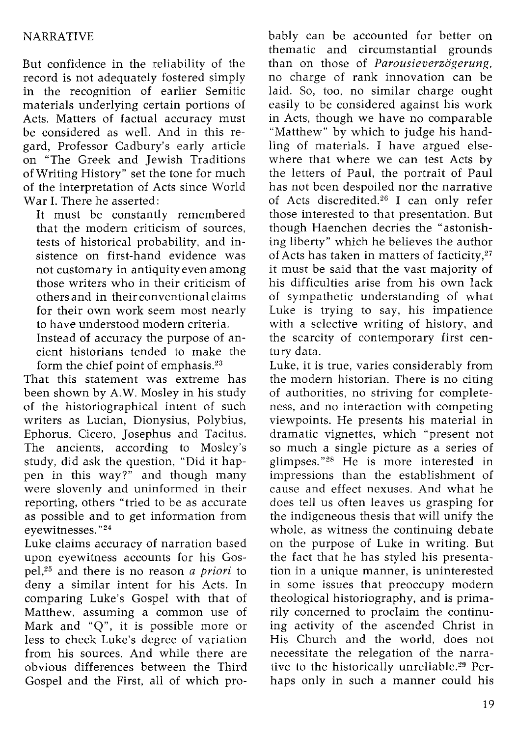#### NARRATIVE

But confidence in the reliability of the record is not adequately fostered simply in the recognition of earlier Semitic materials underlying certain portions of Acts. Matters of factual accuracy must be considered as well. And in this regard, Professor Cadbury's early article on "The Greek and Jewish Traditions of Writing History" set the tone for much of the interpretation of Acts since World War I. There he asserted:

It must be constantly remembered that the modern criticism of sources, tests of historical probability, and insistence on first-hand evidence was not customary in antiquity even among those writers who in their criticism of others and in their conventional claims for their own work seem most nearly to have understood modern criteria.

Instead of accuracy the purpose of ancient historians tended to make the form the chief point of emphasis.<sup>23</sup>

That this statement was extreme has been shown by A.W. Mosley in his study of the historiographical intent of such writers as Lucian, Dionysius, Polybius, Ephorus, Cicero, Josephus and Tacitus. The ancients, according to Mosley's study, did ask the question, "Did it happen in this way?" and though many were slovenly and uninformed in their reporting, others "tried to be as accurate as possible and to get information from eyewitnesses. "24

Luke claims accuracy of narration based upon eyewitness accounts for his Gospel,25 and there is no reason *a priori* to deny a similar intent for his Acts. In comparing Luke's Gospel with that of Matthew, assuming a common use of Mark and "Q", it is possible more or less to check Luke's degree of variation from his sources. And while there are obvious differences between the Third Gospel and the First, all of which probably can be accounted for better on thematic and circumstantial grounds than on those of *Parousieverzogerung,*  no charge of rank innovation can be laid. So, too, no similar charge ought easily to be considered against his work in Acts, though we have no comparable "Matthew" by which to judge his handling of materials. I have argued elsewhere that where we can test Acts by the letters of Paul, the portrait of Paul has not been despoiled nor the narrative of Acts discredited.<sup>26</sup> I can only refer those interested to that presentation. But though Haenchen decries the "astonishing liberty" which he believes the author of Acts has taken in matters of facticity,27 it must be said that the vast majority of his difficulties arise from his own lack of sympathetic understanding of what Luke is trying to say, his impatience with a selective writing of history, and the scarcity of contemporary first century data.

Luke, it is true, varies considerably from the modern historian. There is no citing of authorities, no striving for completeness, and no interaction with competing viewpoints. He presents his material in dramatic vignettes, which "present not so much a single picture as a series of glimpses. "28 He is more interested in impressions than the establishment of cause and effect nexuses. And what he does tell us often leaves us grasping for the indigeneous thesis that will unify the whole, as witness the continuing debate on the purpose of Luke in writing. But the fact that he has styled his presentation in a unique manner, is uninterested in some issues that preoccupy modern theological historiography, and is primarily concerned to proclaim the continuing activity of the ascended Christ in His Church and the world, does not necessitate the relegation of the narrative to the historically unreliable.<sup>29</sup> Perhaps only in such a manner could his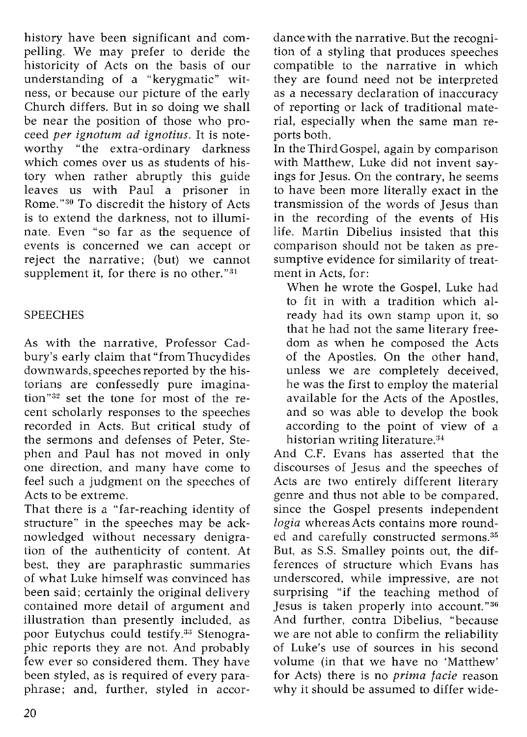history have been significant and compelling. We may prefer to deride the historicity of Acts on the basis of our understanding of a "kerygmatic" witness, or because our picture of the early Church differs. But in so doing we shall be near the position of those who proceed *per ignotum ad ignotius.* It is noteworthy "the extra-ordinary darkness which comes over us as students of history when rather abruptly this guide leaves us with Paul a prisoner in Rome."<sup>30</sup> To discredit the history of Acts is to extend the darkness, not to illuminate. Even "so far as the sequence of events is concerned we can accept or reject the narrative; (but) we cannot supplement it, for there is no other." $31$ 

### SPEECHES

As with the narrative, Professor Cadbury's early claim that "from Thucydides downwards, speeches reported by the historians are confessedly pure imagination"82 set the tone for most of the recent scholarly responses to the speeches recorded in Acts. But critical study of the sermons and defenses of Peter, Stephen and Paul has not moved in only one direction, and many have come to feel such a judgment on the speeches of Acts to be extreme.

That there is a "far-reaching identity of structure" in the speeches may be acknowledged without necessary denigration of the authenticity of content. At best, they are paraphrastic summaries of what Luke himself was convinced has been said; certainly the original delivery contained more detail of argument and illustration than presently included, as poor Eutychus could testify.<sup>33</sup> Stenographic reports they are not. And probably few ever so considered them. They have been styled, as is required of every paraphrase; and, further, styled in accordance with the narrative. But the recognition of a styling that produces speeches compatible to the narrative in which they are found need not be interpreted as a necessary declaration of inaccuracy of reporting or lack of traditional material, especially when the same man reports both.

In the Third Gospel, again by comparison with Matthew, Luke did not invent sayings for Jesus. On the contrary, he seems to have been more literally exact in the transmission of the words of Jesus than in the recording of the events of His life. Martin Dibelius insisted that this comparison should not be taken as presumptive evidence for similarity of treatment in Acts, for:

When he wrote the Gospel, Luke had to fit in with a tradition which already had its own stamp upon it, so that he had not the same literary freedom as when he composed the Acts of the Apostles. On the other hand, unless we are completely deceived, he was the first to employ the material available for the Acts of the Apostles, and so was able to develop the book according to the point of view of a historian writing literature. $34$ 

And C.F. Evans has asserted that the discourses of Jesus and the speeches of Acts are two entirely different literary genre and thus not able to be compared, since the Gospel presents independent *logia* whereas Acts contains more rounded and carefully constructed sermons.<sup>35</sup> But, as S.S. Smalley points out, the differences of structure which Evans has underscored, while impressive, are not surprising "if the teaching method of Jesus is taken properly into account."36 And further, contra Dibelius, "because we are not able to confirm the reliability of Luke's use of sources in his second volume (in that we have no 'Matthew' for Acts) there is no *prima facie* reason why it should be assumed to differ wide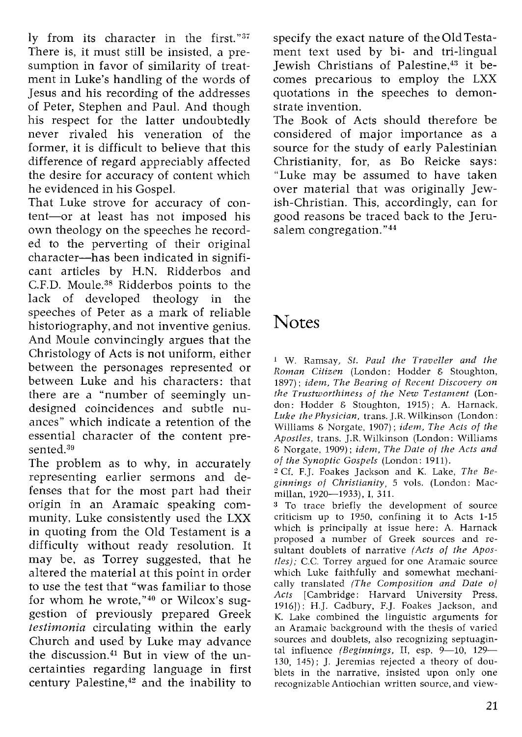ly from its character in the first."37 There is, it must still be insisted, a presumption in favor of similarity of treatment in Luke's handling of the words of Jesus and his recording of the addresses of Peter, Stephen and Paul. And though his respect for the latter undoubtedly never rivaled his veneration of the former, it is difficult to believe that this difference of regard appreciably affected the desire for accuracy of content which he evidenced in his Gospel.

That Luke strove for accuracy of content-or at least has not imposed his own theology on the speeches he recorded to the perverting of their original character-has been indicated in significant articles by H.N. Ridderbos and C.F.D. Moule. 3s Ridderbos points to the lack of developed theology in the speeches of Peter as a mark of reliable historiography, and not inventive genius. And Moule convincingly argues that the Christology of Acts is not uniform, either between the personages represented or between Luke and his characters: that there are a "number of seemingly undesigned coincidences and subtle nuances" which indicate a retention of the essential character of the content presented.<sup>39</sup>

The problem as to why, in accurately representing earlier sermons and defenses that for the most part had their origin in an Aramaic speaking community, Luke consistently used the LXX in quoting from the Old Testament is a difficulty without ready resolution. It may be, as Torrey suggested, that he altered the material at this point in order to use the test that "was familiar to those for whom he wrote,"40 or Wilcox's suggestion of previously prepared Greek *testimonia* circulating within the early Church and used by Luke may advance the discussion.41 But in view of the uncertainties regarding language in first century Palestine,<sup>42</sup> and the inability to

specify the exact nature of the Old Testament text used by bi- and tri-lingual Iewish Christians of Palestine.<sup>43</sup> it becomes precarious to employ the LXX quotations in the speeches to demonstrate invention.

The Book of Acts should therefore be considered of major importance as a source for the study of early Palestinian Christianity, for, as Bo Reicke says: "Luke may be assumed to have taken over material that was originally Jewish-Christian. This, accordingly, can for good reasons be traced back to the Jerusalem congregation. "44

# **Notes**

1 W. Ramsay, *St. Paul the Traveller and the Roman Citizen* (London: Hodder & Stoughton, 1897); *idem, The Bearing of Recent Discovery on the Trustworthiness of the New Testament* (London: Hodder & Stoughton, 1915); A. Harnack, *Luke the Physician,* trans.].R. Wilkinson (London: Williams & Norgate, 1907); *idem, The Acts of the Apostles,* trans. ].R. Wilkinson (London: Williams & Norgate, 1909); *idem, The Date of the Acts and of the Synoptic Gospels* (London: 1911).

2 Cf. F.]. Foakes Jackson and K. Lake, *The Beginnings of Christianity,* 5 vols. (London: Macmillan, 1920-1933), I, 311.

<sup>3</sup> To trace briefly the development of source criticism up to 1950, confining it to Acts 1-15 which is principally at issue here: A. Harnack proposed a number of Greek sources and resultant doublets of narrative *(Acts of the Apostles);* c.c. Torrey argued for one Aramaic source which Luke faithfully and somewhat mechanically translated *(The Composition and Date at Acts* [Cambridge: Harvard University Press, 1916]); H.]. Cadbury, F.]. Foakes Jackson, and K. Lake combined the linguistic arguments for an Aramaic background with the thesis of varied sources and doublets, also recognizing septuagintal influence (Beginnings, II, esp. 9-10, 129-130, 145); ]. Jeremias rejected a theory of doublets in the narrative, insisted upon only one recognizable Antiochian written source, and view-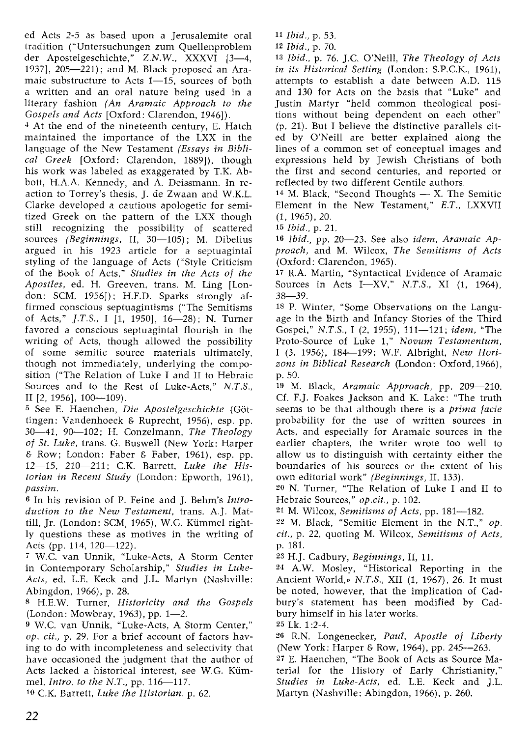ed Acts 2-5 as based upon a Jerusalemite oral tradition ("Untersuchungen zum Quellenproblem der Apostelgeschichte," Z.N.W., XXXVI [3-4, 1937], 205-221); and M. Black proposed an Aramaic substructure to Acts  $1-15$ , sources of both a written and an oral nature being used in a literary fashion *(An Aramaic Approach to the Gospels and Acts* [Oxford: Clarendon, 1946]).

4 At the end of the nineteenth century, E. Hatch maintained the importance of the LXX in the language of the New Testament *(Essays in Biblical Greek* [Oxford: Clarendon, 1889]), though his work was labeled as exaggerated by T.K. Abbott, H.A.A. Kennedy, and A. Deissmann. In reaction to Torrey's thesis, ]. de Zwaan and W.K.L. Clarke developed a cautious apologetic for semitized Greek on the pattern of the LXX though still recognizing the possibility of scattered sources (Beginnings, II, 30-105); M. Dibelius argued in his 1923 article for a septuagintal styling of the language of Acts ("Style Criticism of the Book of Acts," *Studies in the Acts of the Apostles,* ed. H. Greeven, trans. M. Ling [London: SCM, 1956]); H.F.D. Sparks strongly affirmed conscious septuagintisms ("The Semitisms of Acts," *J.T.S., I* [1, 1950], 16-28); N. Turner favored a conscious septuagintal flourish in the writing of Acts, though allowed the possibility of some semitic source materials ultimately, though not immediately, underlying the composition ("The Relation of Luke I and II to Hebraic Sources and to the Rest of Luke-Acts," *N.T.S.,*  II [2, 1956], 100-109).

5 See E. Haenchen, *Die Apostelgeschichte (Gbt*tingen: Vandenhoeck & Ruprecht, 1956), esp. pp. 30-41, 90-102; H. Conzelmann, *The Theology of St. Luke,* trans. G. Buswell (New York: Harper & Row; London: Faber & Faber, 1961), esp. pp. 12-15, 210-211; C.K. Barrett, *Luke the Historian in Recent Study* (London: Epworth, 1961), *passim.* 

6 In his revision of P. Feine and]. Behm's *Introduction to the New Testament,* trans. A.]. Mattill, Jr. (London: SCM, 1965), W.G. Kiimmel rightly questions these as motives in the writing of Acts (pp. 114, 120-122).

<sup>7</sup>w.e. van Unnik, "Luke-Acts, A Storm Center in Contemporary Scholarship," *Studies in Luke-*Acts, ed. L.E. Keck and J.L. Martyn (Nashville: Abingdon, 1966), p. 28.

8 H.E.W. Turner, *Historicity and the Gospels*  (London: Mowbray, 1963), pp. 1-2.

9 W.C. van Unnik, "Luke-Acts, A Storm Center," *op. cit.,* p. 29. For a brief account of factors having to do with incompleteness and selectivity that have occasioned the judgment that the author of Acts lacked a historical interest, see W.G. Kiimmel, *Intro. to the N.T.*, pp. 116-117.

10 C.K. Barrett, *Luke the Historian,* p. 62.

*11 Ibid.,* p. 53.

*12 Ibid.,* p. 70.

13 Ibid., p. 76. J.C. O'Neill, *The Theology of Acts in its Historical Setting (London: S.P.C.K., 1961),* attempts to establish a date between A.D. 115 and 130 for Acts on the basis that "Luke" and Justin Martyr "held common theological positions without being dependent on each other" (p. 21). But I believe the distinctive parallels cited by O'Neill are better explained along the lines of a common set of conceptual images and expressions held by Jewish Christians of both the first and second centuries, and reported or reflected by two different Gentile authors.

 $14$  M. Black, "Second Thoughts  $- X$ . The Semitic Element in the New Testament," *E.T.,* LXXVII  $(1, 1965)$ , 20.

*15 Ibid.,* p. 21.

16 *Ibid.*, pp. 20-23. See also *idem*, Aramaic Ap*proach,* and M. Wilcox, *The Semitisms of Acts*  (Oxford: Clarendon, 1965).

17 R.A. Martin, "Syntactical Evidence of Aramaic Sources in Acts I-XV," *N.T.S.,* XI (1, 1964), 38-39.

18 P. Winter, "Some Observations on the Language in the Birth and Infancy Stories of the Third Gospel," *N.T.S.,* I (2, 1955), 111-121; *idem,* "The Proto-Source of Luke 1," *Novum Testamentum,*  I (3, 1956), 184-199; W.F. Albright, *New Horizons in Biblical Research* (London: Oxford,1966), p.50.

19 M. Black, Aramaic Approach, pp. 209-210. Cf. F.J. Foakes Jackson and K. Lake: "The truth seems to be that although there is a *prima facie*  probability for the use of written sources in Acts, and especially for Aramaic sources in the earlier chapters, the writer wrote too well to allow us to distinguish with certainty either the boundaries of his sources or the extent of his own editorial work" *(Beginnings,* II, 133).

20 N. Turner, "The Relation of Luke I and II to Hebraic Sources," *op.cit.,* p. 102.

21 M. Wilcox, *Semitisms of Acts,* pp. 181-182.

22 M. Black, "Semitic Element in the N.T.," *op. cit.,* p. 22, quoting M. Wilcox, *Semitisms of Acts,*  p. 181.

<sup>23</sup>H.]. Cadbury, *Beginnings,* II, 11.

24 A.W. Mosley, "Historical Reporting in the Ancient World,» *N.T.S.,* XII (1, 1967), 26. It must be noted, however, that the implication of Cadbury's statement has been modified by Cadbury himself in his later works.

25 Lk. 1 :2-4.

26 R.N. Longenecker, *Paul, Apostle of Liberty*  (New York: Harper & Row, 1964), pp. 245--263.

27 E. Haenchen, "The Book of Acts as Source Material for the History of Early Christianity," Studies in Luke-Acts, ed. L.E. Keck and J.L. Martyn (Nashville: Abingdon, 1966), p. 260.